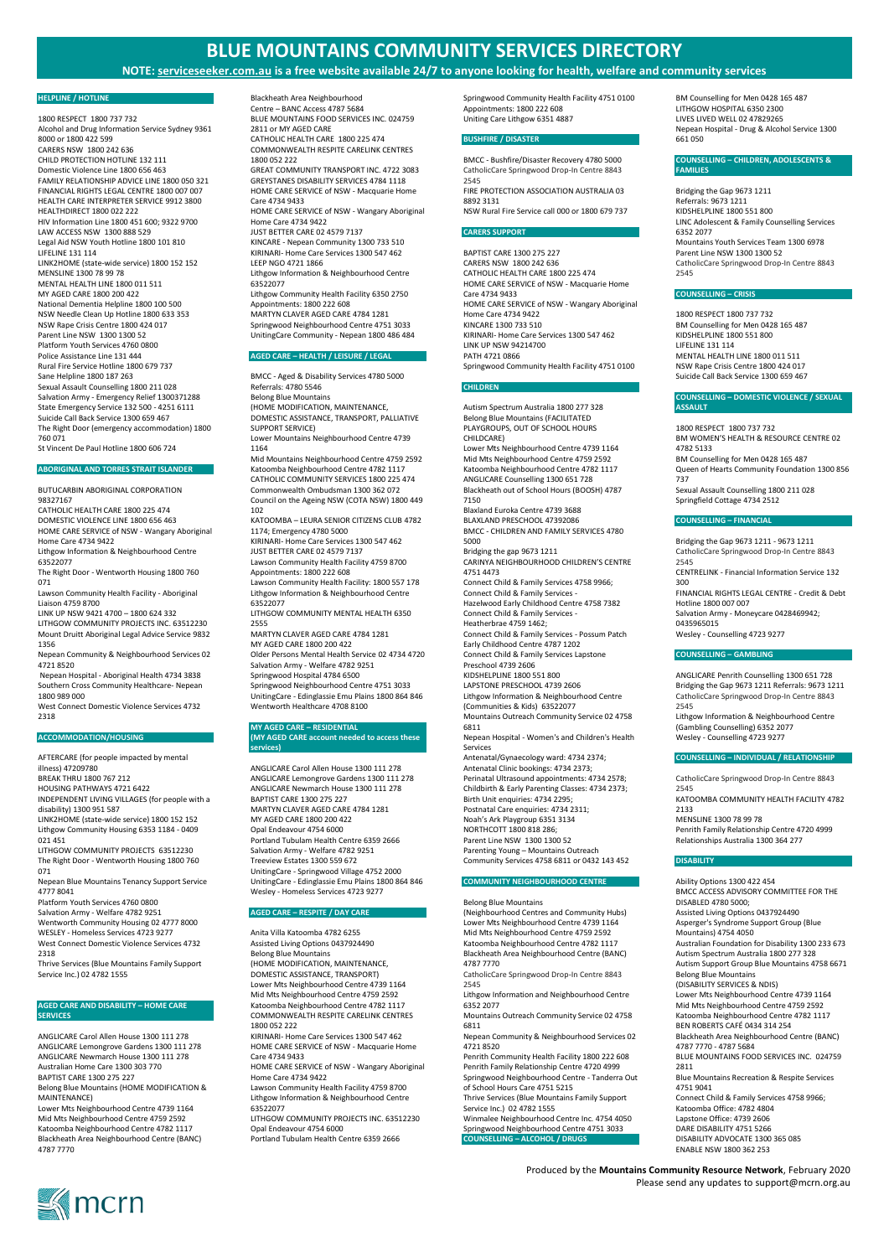# **BLUE MOUNTAINS COMMUNITY SERVICES DIRECTORY**

# **NOTE: serviceseeker.com.au is a free website available 24/7 to anyone looking for health, welfare and community services**

Produced by the **Mountains Community Resource Network**, February 2020

Please send any updates to support@mcrn.org.au



# **HELPLINE / HOTLINE**

1800 RESPECT 1800 737 732 Alcohol and Drug Information Service Sydney 9361 8000 or 1800 422 599 CARERS NSW 1800 242 636 CHILD PROTECTION HOTLINE 132 111 Domestic Violence Line 1800 656 463 FAMILY RELATIONSHIP ADVICE LINE 1800 050 321 FINANCIAL RIGHTS LEGAL CENTRE 1800 007 007 HEALTH CARE INTERPRETER SERVICE 9912 3800 HEALTHDIRECT 1800 022 222 HIV Information Line 1800 451 600; 9322 9700 LAW ACCESS NSW 1300 888 529 Legal Aid NSW Youth Hotline 1800 101 810 LIFELINE 131 114 LINK2HOME (state-wide service) 1800 152 152 MENSLINE 1300 78 99 78 MENTAL HEALTH LINE 1800 011 511 MY AGED CARE 1800 200 422 National Dementia Helpline 1800 100 500 NSW Needle Clean Up Hotline 1800 633 353 NSW Rape Crisis Centre 1800 424 017 Parent Line NSW 1300 1300 52 Platform Youth Services 4760 0800 Police Assistance Line 131 444 Rural Fire Service Hotline 1800 679 737 Sane Helpline 1800 187 263 Sexual Assault Counselling 1800 211 028 Salvation Army - Emergency Relief 1300371288 State Emergency Service 132 500 - 4251 6111 Suicide Call Back Service 1300 659 467 The Right Door (emergency accommodation) 1800 760 071 St Vincent De Paul Hotline 1800 606 724

# **ABORIGINAL AND TORRES STRAIT ISLANDER**

BUTUCARBIN ABORIGINAL CORPORATION 98327167 CATHOLIC HEALTH CARE 1800 225 474 DOMESTIC VIOLENCE LINE 1800 656 463 HOME CARE SERVICE of NSW - Wangary Aboriginal Home Care 4734 9422 Lithgow Information & Neighbourhood Centre 63522077 The Right Door - Wentworth Housing 1800 760 071 Lawson Community Health Facility - Aboriginal Liaison 4759 8700 LINK UP NSW 9421 4700 – 1800 624 332 LITHGOW COMMUNITY PROJECTS INC. 63512230 Mount Druitt Aboriginal Legal Advice Service 9832 1356 Nepean Community & Neighbourhood Services 02 4721 8520

Nepean Hospital - Aboriginal Health 4734 3838 Southern Cross Community Healthcare- Nepean 1800 989 000

West Connect Domestic Violence Services 4732 2318

# **ACCOMMODATION/HOUSING**

AFTERCARE (for people impacted by mental illness) 47209780 BREAK THRU 1800 767 212 HOUSING PATHWAYS 4721 6422 INDEPENDENT LIVING VILLAGES (for people with a disability) 1300 951 587 LINK2HOME (state-wide service) 1800 152 152 Lithgow Community Housing 6353 1184 - 0409 021 451 LITHGOW COMMUNITY PROJECTS 63512230 The Right Door - Wentworth Housing 1800 760 071 Nepean Blue Mountains Tenancy Support Service 4777 8041 Platform Youth Services 4760 0800

Salvation Army - Welfare 4782 9251 Wentworth Community Housing 02 4777 8000 WESLEY - Homeless Services 4723 9277 West Connect Domestic Violence Services 4732

2318

Thrive Services (Blue Mountains Family Support Service Inc.) 02 4782 1555

# **AGED CARE AND DISABILITY – HOME CARE SERVICES**

ANGLICARE Carol Allen House 1300 111 278 ANGLICARE Lemongrove Gardens 1300 111 278 ANGLICARE Newmarch House 1300 111 278 Australian Home Care 1300 303 770 BAPTIST CARE 1300 275 227 Belong Blue Mountains (HOME MODIFICATION & MAINTENANCE) Lower Mts Neighbourhood Centre 4739 1164 Mid Mts Neighbourhood Centre 4759 2592 Katoomba Neighbourhood Centre 4782 1117 Blackheath Area Neighbourhood Centre (BANC) 4787 7770

Blackheath Area Neighbourhood Centre – BANC Access 4787 5684 BLUE MOUNTAINS FOOD SERVICES INC. 024759 2811 or MY AGED CARE CATHOLIC HEALTH CARE 1800 225 474 COMMONWEALTH RESPITE CARELINK CENTRES 1800 052 222 GREAT COMMUNITY TRANSPORT INC. 4722 3083 GREYSTANES DISABILITY SERVICES 4784 1118 HOME CARE SERVICE of NSW - Macquarie Home Care 4734 9433 HOME CARE SERVICE of NSW - Wangary Aboriginal Home Care 4734 9422 JUST BETTER CARE 02 4579 7137 KINCARE - Nepean Community 1300 733 510 KIRINARI- Home Care Services 1300 547 462 LEEP NGO 4721 1866 Lithgow Information & Neighbourhood Centre 63522077 Lithgow Community Health Facility 6350 2750 Appointments: 1800 222 608 MARTYN CLAVER AGED CARE 4784 1281 Springwood Neighbourhood Centre 4751 3033 UnitingCare Community - Nepean 1800 486 484 **AGED CARE – HEALTH / LEISURE / LEGAL** BMCC - Aged & Disability Services 4780 5000 Referrals: 4780 5546 Belong Blue Mountains

(HOME MODIFICATION, MAINTENANCE, DOMESTIC ASSISTANCE, TRANSPORT, PALLIATIVE SUPPORT SERVICE) Lower Mountains Neighbourhood Centre 4739 1164

Mid Mountains Neighbourhood Centre 4759 2592 Katoomba Neighbourhood Centre 4782 1117 CATHOLIC COMMUNITY SERVICES 1800 225 474 Commonwealth Ombudsman 1300 362 072 Council on the Ageing NSW (COTA NSW) 1800 449 102

KATOOMBA – LEURA SENIOR CITIZENS CLUB 4782 1174; Emergency 4780 5000 KIRINARI- Home Care Services 1300 547 462 JUST BETTER CARE 02 4579 7137 Lawson Community Health Facility 4759 8700 Appointments: 1800 222 608 Lawson Community Health Facility: 1800 557 178 Lithgow Information & Neighbourhood Centre 63522077

LITHGOW COMMUNITY MENTAL HEALTH 6350 2555

MARTYN CLAVER AGED CARE 4784 1281 MY AGED CARE 1800 200 422 Older Persons Mental Health Service 02 4734 4720 Salvation Army - Welfare 4782 9251 Springwood Hospital 4784 6500 Springwood Neighbourhood Centre 4751 3033 UnitingCare - Edinglassie Emu Plains 1800 864 846 Wentworth Healthcare 4708 8100

#### **MY AGED CARE – RESIDENTIAL (MY AGED CARE account needed to access these services)**

ANGLICARE Carol Allen House 1300 111 278 ANGLICARE Lemongrove Gardens 1300 111 278 ANGLICARE Newmarch House 1300 111 278 BAPTIST CARE 1300 275 227 MARTYN CLAVER AGED CARE 4784 1281 MY AGED CARE 1800 200 422 Opal Endeavour 4754 6000 Portland Tubulam Health Centre 6359 2666 Salvation Army - Welfare 4782 9251 Treeview Estates 1300 559 672 UnitingCare - Springwood Village 4752 2000 UnitingCare - Edinglassie Emu Plains 1800 864 846 Wesley - Homeless Services 4723 9277

# **AGED CARE – RESPITE / DAY CARE**

Anita Villa Katoomba 4782 6255 Assisted Living Options 0437924490 Belong Blue Mountains (HOME MODIFICATION, MAINTENANCE, DOMESTIC ASSISTANCE, TRANSPORT) Lower Mts Neighbourhood Centre 4739 1164 Mid Mts Neighbourhood Centre 4759 2592 Katoomba Neighbourhood Centre 4782 1117 COMMONWEALTH RESPITE CARELINK CENTRES 1800 052 222 KIRINARI- Home Care Services 1300 547 462 HOME CARE SERVICE of NSW - Macquarie Home Care 4734 9433 HOME CARE SERVICE of NSW - Wangary Aboriginal Home Care 4734 9422

Lawson Community Health Facility 4759 8700 Lithgow Information & Neighbourhood Centre 63522077

LITHGOW COMMUNITY PROJECTS INC. 63512230 Opal Endeavour 4754 6000 Portland Tubulam Health Centre 6359 2666

Springwood Community Health Facility 4751 0100 Appointments: 1800 222 608 Uniting Care Lithgow 6351 4887

# **BUSHFIRE / DISASTER**

BMCC - Bushfire/Disaster Recovery 4780 5000 CatholicCare Springwood Drop-In Centre 8843 2545 FIRE PROTECTION ASSOCIATION AUSTRALIA 03 8892 3131 NSW Rural Fire Service call 000 or 1800 679 737

## **CARERS SUPPORT**

BAPTIST CARE 1300 275 227 CARERS NSW 1800 242 636 CATHOLIC HEALTH CARE 1800 225 474 HOME CARE SERVICE of NSW - Macquarie Home Care 4734 9433 HOME CARE SERVICE of NSW - Wangary Aboriginal Home Care 4734 9422 KINCARE 1300 733 510 KIRINARI- Home Care Services 1300 547 462 LINK UP NSW 94214700 PATH 4721 0866 Springwood Community Health Facility 4751 0100

# **CHILDREN**

Autism Spectrum Australia 1800 277 328 Belong Blue Mountains (FACILITATED PLAYGROUPS, OUT OF SCHOOL HOURS CHILDCARE) Lower Mts Neighbourhood Centre 4739 1164 Mid Mts Neighbourhood Centre 4759 2592 Katoomba Neighbourhood Centre 4782 1117 ANGLICARE Counselling 1300 651 728 Blackheath out of School Hours (BOOSH) 4787 7150 Blaxland Euroka Centre 4739 3688 BLAXLAND PRESCHOOL 47392086 BMCC - CHILDREN AND FAMILY SERVICES 4780 5000 Bridging the gap 9673 1211 CARINYA NEIGHBOURHOOD CHILDREN'S CENTRE 4751 4473 Connect Child & Family Services 4758 9966; Connect Child & Family Services - Hazelwood Early Childhood Centre 4758 7382 Connect Child & Family Services - Heatherbrae 4759 1462; Connect Child & Family Services - Possum Patch Early Childhood Centre 4787 1202 Connect Child & Family Services Lapstone Preschool 4739 2606 KIDSHELPLINE 1800 551 800 LAPSTONE PRESCHOOL 4739 2606 Lithgow Information & Neighbourhood Centre (Communities & Kids) 63522077 Mountains Outreach Community Service 02 4758 6811 Nepean Hospital - Women's and Children's Health Services Antenatal/Gynaecology ward: 4734 2374; Antenatal Clinic bookings: 4734 2373; Perinatal Ultrasound appointments: 4734 2578; Childbirth & Early Parenting Classes: 4734 2373; Birth Unit enquiries: 4734 2295; Postnatal Care enquiries: 4734 2311; Noah's Ark Playgroup 6351 3134 NORTHCOTT 1800 818 286; Parent Line NSW 1300 1300 52 Parenting Young – Mountains Outreach Community Services 4758 6811 or 0432 143 452

# **COMMUNITY NEIGHBOURHOOD CENTRE**

Belong Blue Mountains (Neighbourhood Centres and Community Hubs) Lower Mts Neighbourhood Centre 4739 1164 Mid Mts Neighbourhood Centre 4759 2592 Katoomba Neighbourhood Centre 4782 1117 Blackheath Area Neighbourhood Centre (BANC) 4787 7770

CatholicCare Springwood Drop-In Centre 8843 2545

Lithgow Information and Neighbourhood Centre 6352 2077

Mountains Outreach Community Service 02 4758 6811

Nepean Community & Neighbourhood Services 02 4721 8520

Penrith Community Health Facility 1800 222 608 Penrith Family Relationship Centre 4720 4999 Springwood Neighbourhood Centre - Tanderra Out of School Hours Care 4751 5215 Thrive Services (Blue Mountains Family Support Service Inc.) 02 4782 1555 Winmalee Neighbourhood Centre Inc. 4754 4050 Springwood Neighbourhood Centre 4751 3033 **COUNSELLING – ALCOHOL / DRUGS**

BM Counselling for Men 0428 165 487 LITHGOW HOSPITAL 6350 2300 LIVES LIVED WELL 02 47829265 Nepean Hospital - Drug & Alcohol Service 1300 661 050

# **COUNSELLING – CHILDREN, ADOLESCENTS & FAMILIES**

Bridging the Gap 9673 1211 Referrals: 9673 1211 KIDSHELPLINE 1800 551 800 LINC Adolescent & Family Counselling Services 6352 2077 Mountains Youth Services Team 1300 6978 Parent Line NSW 1300 1300 52 CatholicCare Springwood Drop-In Centre 8843 2545

# **COUNSELLING – CRISIS**

1800 RESPECT 1800 737 732 BM Counselling for Men 0428 165 487 KIDSHELPLINE 1800 551 800 LIFELINE 131 114 MENTAL HEALTH LINE 1800 011 511 NSW Rape Crisis Centre 1800 424 017 Suicide Call Back Service 1300 659 467

# **COUNSELLING – DOMESTIC VIOLENCE / SEXUAL ASSAULT**

1800 RESPECT 1800 737 732 BM WOMEN'S HEALTH & RESOURCE CENTRE 02 4782 5133 BM Counselling for Men 0428 165 487 Queen of Hearts Community Foundation 1300 856 737 Sexual Assault Counselling 1800 211 028 Springfield Cottage 4734 2512

# **COUNSELLING – FINANCIAL**

Bridging the Gap 9673 1211 - 9673 1211 CatholicCare Springwood Drop-In Centre 8843 2545 CENTRELINK - Financial Information Service 132 300 FINANCIAL RIGHTS LEGAL CENTRE - Credit & Debt Hotline 1800 007 007 Salvation Army - Moneycare 0428469942; 0435965015 Wesley - Counselling 4723 9277

#### **COUNSELLING – GAMBLING**

ANGLICARE Penrith Counselling 1300 651 728 Bridging the Gap 9673 1211 Referrals: 9673 1211 CatholicCare Springwood Drop-In Centre 8843 2545 Lithgow Information & Neighbourhood Centre (Gambling Counselling) 6352 2077 Wesley - Counselling 4723 9277

# **COUNSELLING – INDIVIDUAL / RELATIONSHIP**

CatholicCare Springwood Drop-In Centre 8843 2545 KATOOMBA COMMUNITY HEALTH FACILITY 4782 2133 MENSLINE 1300 78 99 78 Penrith Family Relationship Centre 4720 4999 Relationships Australia 1300 364 277

#### **DISABILITY**

Ability Options 1300 422 454 BMCC ACCESS ADVISORY COMMITTEE FOR THE DISABLED 4780 5000; Assisted Living Options 0437924490 Asperger's Syndrome Support Group (Blue Mountains) 4754 4050 Australian Foundation for Disability 1300 233 673 Autism Spectrum Australia 1800 277 328 Autism Support Group Blue Mountains 4758 6671 Belong Blue Mountains (DISABILITY SERVICES & NDIS) Lower Mts Neighbourhood Centre 4739 1164 Mid Mts Neighbourhood Centre 4759 2592 Katoomba Neighbourhood Centre 4782 1117 BEN ROBERTS CAFÉ 0434 314 254 Blackheath Area Neighbourhood Centre (BANC) 4787 7770 - 4787 5684 BLUE MOUNTAINS FOOD SERVICES INC. 024759 2811 Blue Mountains Recreation & Respite Services 4751 9041 Connect Child & Family Services 4758 9966; Katoomba Office: 4782 4804 Lapstone Office: 4739 2606 DARE DISABILITY 4751 5266 DISABILITY ADVOCATE 1300 365 085 ENABLE NSW 1800 362 253